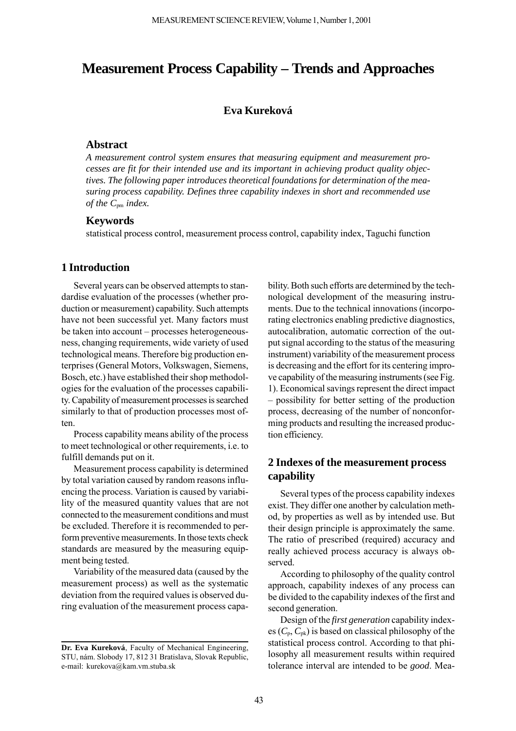# **Measurement Process Capability – Trends and Approaches**

## **Eva Kureková**

#### **Abstract**

*A measurement control system ensures that measuring equipment and measurement processes are fit for their intended use and its important in achieving product quality objectives. The following paper introduces theoretical foundations for determination of the measuring process capability. Defines three capability indexes in short and recommended use of the C*pm *index.*

## **Keywords**

statistical process control, measurement process control, capability index, Taguchi function

### **1 Introduction**

Several years can be observed attempts to standardise evaluation of the processes (whether production or measurement) capability. Such attempts have not been successful yet. Many factors must be taken into account – processes heterogeneousness, changing requirements, wide variety of used technological means. Therefore big production enterprises (General Motors, Volkswagen, Siemens, Bosch, etc.) have established their shop methodologies for the evaluation of the processes capability. Capability of measurement processes is searched similarly to that of production processes most often.

Process capability means ability of the process to meet technological or other requirements, i.e. to fulfill demands put on it.

Measurement process capability is determined by total variation caused by random reasons influencing the process. Variation is caused by variability of the measured quantity values that are not connected to the measurement conditions and must be excluded. Therefore it is recommended to perform preventive measurements. In those texts check standards are measured by the measuring equipment being tested.

Variability of the measured data (caused by the measurement process) as well as the systematic deviation from the required values is observed during evaluation of the measurement process capa-

bility. Both such efforts are determined by the technological development of the measuring instruments. Due to the technical innovations (incorporating electronics enabling predictive diagnostics, autocalibration, automatic correction of the output signal according to the status of the measuring instrument) variability of the measurement process is decreasing and the effort for its centering improve capability of the measuring instruments (see Fig. 1). Economical savings represent the direct impact – possibility for better setting of the production process, decreasing of the number of nonconforming products and resulting the increased production efficiency.

## **2 Indexes of the measurement process capability**

Several types of the process capability indexes exist. They differ one another by calculation method, by properties as well as by intended use. But their design principle is approximately the same. The ratio of prescribed (required) accuracy and really achieved process accuracy is always observed.

According to philosophy of the quality control approach, capability indexes of any process can be divided to the capability indexes of the first and second generation.

Design of the *first generation* capability indexes  $(C_p, C_{pk})$  is based on classical philosophy of the statistical process control. According to that philosophy all measurement results within required tolerance interval are intended to be *good*. Mea-

**Dr. Eva Kureková**, Faculty of Mechanical Engineering, STU, nám. Slobody 17, 812 31 Bratislava, Slovak Republic, e-mail: kurekova@kam.vm.stuba.sk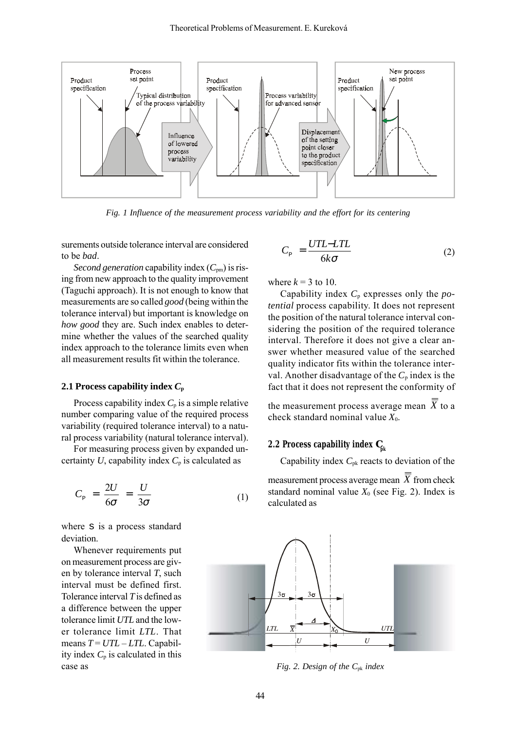

*Fig. 1 Influence of the measurement process variability and the effort for its centering*

surements outside tolerance interval are considered to be *bad*.

*Second generation* capability index  $(C_{pm})$  is rising from new approach to the quality improvement (Taguchi approach). It is not enough to know that measurements are so called *good* (being within the tolerance interval) but important is knowledge on *how good* they are. Such index enables to determine whether the values of the searched quality index approach to the tolerance limits even when all measurement results fit within the tolerance.

#### **2.1 Process capability index** *C***<sup>p</sup>**

Process capability index  $C_p$  is a simple relative number comparing value of the required process variability (required tolerance interval) to a natural process variability (natural tolerance interval).

For measuring process given by expanded uncertainty  $U$ , capability index  $C_p$  is calculated as

$$
C_{\rm p} = \frac{2U}{6\sigma} = \frac{U}{3\sigma} \tag{1}
$$

where s is a process standard deviation.

Whenever requirements put on measurement process are given by tolerance interval *T*, such interval must be defined first. Tolerance interval *T* is defined as a difference between the upper tolerance limit *UTL* and the lower tolerance limit *LTL*. That  $means$   $T = UTL - LTL$ . Capability index  $C_p$  is calculated in this case as

$$
C_{\rm p} = \frac{UTL-LTL}{6k\sigma} \tag{2}
$$

where  $k = 3$  to 10.

Capability index *C*p expresses only the *potential* process capability. It does not represent the position of the natural tolerance interval considering the position of the required tolerance interval. Therefore it does not give a clear answer whether measured value of the searched quality indicator fits within the tolerance interval. Another disadvantage of the *C*p index is the fact that it does not represent the conformity of

the measurement process average mean  $\overline{X}$  to a check standard nominal value *X*0.

#### **2.2 Process capability index**  $C_{\text{pk}}$

Capability index *C*pk reacts to deviation of the measurement process average mean  $\overline{\overline{X}}$  from check standard nominal value  $X_0$  (see Fig. 2). Index is calculated as



*Fig. 2. Design of the C*pk *index*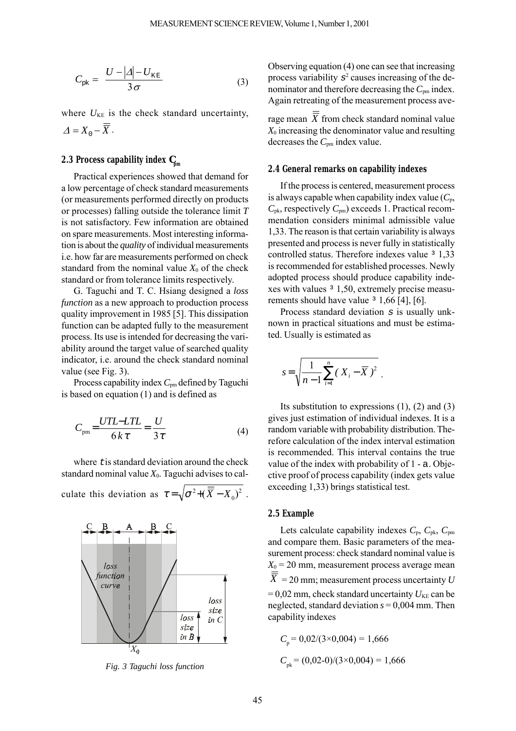$$
C_{\rm pk} = \frac{U - |\Delta| - U_{\rm KE}}{3\,\sigma} \tag{3}
$$

where  $U_{KE}$  is the check standard uncertainty,  $\Delta = X_0 - \overline{\overline{X}}$ .

## **2.3 Process capability index** *C* **pm**

Practical experiences showed that demand for a low percentage of check standard measurements (or measurements performed directly on products or processes) falling outside the tolerance limit *T* is not satisfactory. Few information are obtained on spare measurements. Most interesting information is about the *quality* of individual measurements i.e. how far are measurements performed on check standard from the nominal value  $X_0$  of the check standard or from tolerance limits respectively.

G. Taguchi and T. C. Hsiang designed a *loss function* as a new approach to production process quality improvement in 1985 [5]. This dissipation function can be adapted fully to the measurement process. Its use is intended for decreasing the variability around the target value of searched quality indicator, i.e. around the check standard nominal value (see Fig. 3).

Process capability index  $C_{pm}$  defined by Taguchi is based on equation (1) and is defined as

$$
C_{\rm pm} = \frac{UTL - LTL}{6 k \tau} = \frac{U}{3 \tau}
$$
 (4)

where tis standard deviation around the check standard nominal value  $X_0$ . Taguchi advises to calculate this deviation as  $\tau = \sqrt{\sigma^2 + (\overline{X} - X_0)^2}$ .



*Fig. 3 Taguchi loss function* 

Observing equation (4) one can see that increasing process variability  $s^2$  causes increasing of the denominator and therefore decreasing the  $C_{pm}$  index. Again retreating of the measurement process ave-

rage mean  $\overline{X}$  from check standard nominal value  $X_0$  increasing the denominator value and resulting decreases the *C*pm index value.

#### **2.4 General remarks on capability indexes**

If the process is centered, measurement process is always capable when capability index value  $(C_p)$ ,  $C_{\rm pk}$ , respectively  $C_{\rm pm}$ ) exceeds 1. Practical recommendation considers minimal admissible value 1,33. The reason is that certain variability is always presented and process is never fully in statistically controlled status. Therefore indexes value <sup>3</sup> 1,33 is recommended for established processes. Newly adopted process should produce capability indexes with values ³ 1,50, extremely precise measurements should have value  $3 \frac{1,66}{4}$ , [6].

Process standard deviation  $s$  is usually unknown in practical situations and must be estimated. Usually is estimated as

$$
s = \sqrt{\frac{1}{n-1} \sum_{i=1}^{n} (X_i - \overline{X})^2}.
$$

Its substitution to expressions (1), (2) and (3) gives just estimation of individual indexes. It is a random variable with probability distribution. Therefore calculation of the index interval estimation is recommended. This interval contains the true value of the index with probability of 1 - a. Objective proof of process capability (index gets value exceeding 1,33) brings statistical test.

#### **2.5 Example**

Lets calculate capability indexes *C*p, *C*pk, *C*pm and compare them. Basic parameters of the measurement process: check standard nominal value is  $X_0 = 20$  mm, measurement process average mean  $\overline{\overline{X}}$  = 20 mm; measurement process uncertainty *U*  $= 0.02$  mm, check standard uncertainty  $U_{KE}$  can be neglected, standard deviation  $s = 0,004$  mm. Then capability indexes

$$
C_{\rm p} = 0.02/(3 \times 0.004) = 1,666
$$
  

$$
C_{\rm pk} = (0.02-0)/(3 \times 0.004) = 1,666
$$